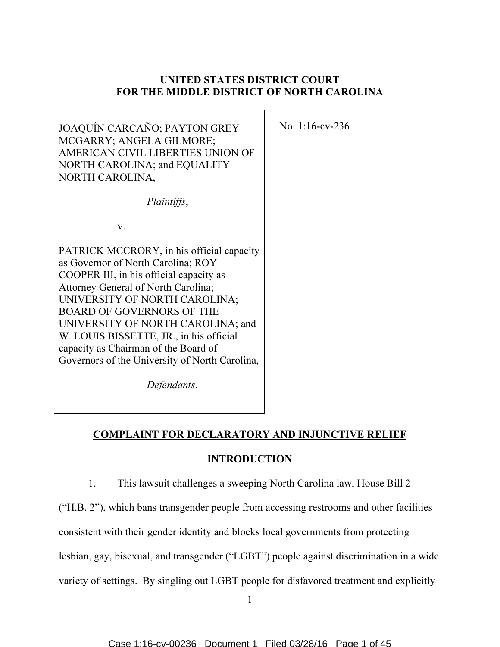# UNITED STATES DISTRICT COURT FOR THE MIDDLE DISTRICT OF NORTH CAROLINA

No. 1:16-cv-236

JOAQUÍN CARCAÑO; PAYTON GREY MCGARRY; ANGELA GILMORE; AMERICAN CIVIL LIBERTIES UNION OF NORTH CAROLINA; and EQUALITY NORTH CAROLINA,

Plaintiffs,

v.

PATRICK MCCRORY, in his official capacity as Governor of North Carolina; ROY COOPER III, in his official capacity as Attorney General of North Carolina; UNIVERSITY OF NORTH CAROLINA; BOARD OF GOVERNORS OF THE UNIVERSITY OF NORTH CAROLINA; and W. LOUIS BISSETTE, JR., in his official capacity as Chairman of the Board of Governors of the University of North Carolina,

Defendants.

COMPLAINT FOR DECLARATORY AND INJUNCTIVE RELIEF

## INTRODUCTION

1. This lawsuit challenges a sweeping North Carolina law, House Bill 2

("H.B. 2"), which bans transgender people from accessing restrooms and other facilities

consistent with their gender identity and blocks local governments from protecting

lesbian, gay, bisexual, and transgender ("LGBT") people against discrimination in a wide

variety of settings. By singling out LGBT people for disfavored treatment and explicitly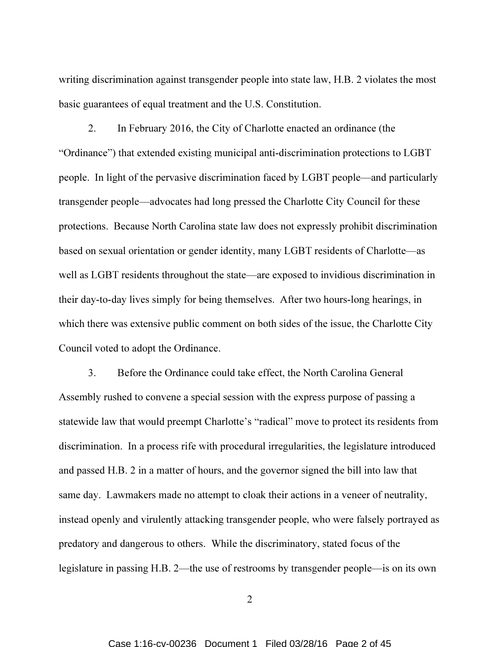writing discrimination against transgender people into state law, H.B. 2 violates the most basic guarantees of equal treatment and the U.S. Constitution.

2. In February 2016, the City of Charlotte enacted an ordinance (the "Ordinance") that extended existing municipal anti-discrimination protections to LGBT people. In light of the pervasive discrimination faced by LGBT people—and particularly transgender people—advocates had long pressed the Charlotte City Council for these protections. Because North Carolina state law does not expressly prohibit discrimination based on sexual orientation or gender identity, many LGBT residents of Charlotte—as well as LGBT residents throughout the state—are exposed to invidious discrimination in their day-to-day lives simply for being themselves. After two hours-long hearings, in which there was extensive public comment on both sides of the issue, the Charlotte City Council voted to adopt the Ordinance.

3. Before the Ordinance could take effect, the North Carolina General Assembly rushed to convene a special session with the express purpose of passing a statewide law that would preempt Charlotte's "radical" move to protect its residents from discrimination. In a process rife with procedural irregularities, the legislature introduced and passed H.B. 2 in a matter of hours, and the governor signed the bill into law that same day. Lawmakers made no attempt to cloak their actions in a veneer of neutrality, instead openly and virulently attacking transgender people, who were falsely portrayed as predatory and dangerous to others. While the discriminatory, stated focus of the legislature in passing H.B. 2—the use of restrooms by transgender people—is on its own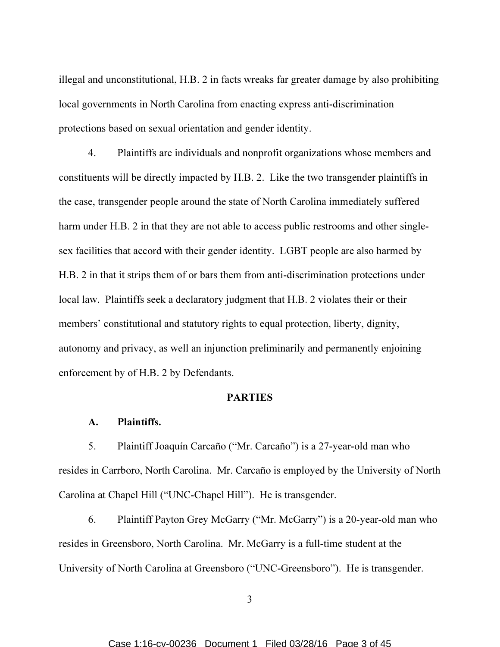illegal and unconstitutional, H.B. 2 in facts wreaks far greater damage by also prohibiting local governments in North Carolina from enacting express anti-discrimination protections based on sexual orientation and gender identity.

4. Plaintiffs are individuals and nonprofit organizations whose members and constituents will be directly impacted by H.B. 2. Like the two transgender plaintiffs in the case, transgender people around the state of North Carolina immediately suffered harm under H.B. 2 in that they are not able to access public restrooms and other singlesex facilities that accord with their gender identity. LGBT people are also harmed by H.B. 2 in that it strips them of or bars them from anti-discrimination protections under local law. Plaintiffs seek a declaratory judgment that H.B. 2 violates their or their members' constitutional and statutory rights to equal protection, liberty, dignity, autonomy and privacy, as well an injunction preliminarily and permanently enjoining enforcement by of H.B. 2 by Defendants.

### PARTIES

### A. Plaintiffs.

5. Plaintiff Joaquín Carcaño ("Mr. Carcaño") is a 27-year-old man who resides in Carrboro, North Carolina. Mr. Carcaño is employed by the University of North Carolina at Chapel Hill ("UNC-Chapel Hill"). He is transgender.

6. Plaintiff Payton Grey McGarry ("Mr. McGarry") is a 20-year-old man who resides in Greensboro, North Carolina. Mr. McGarry is a full-time student at the University of North Carolina at Greensboro ("UNC-Greensboro"). He is transgender.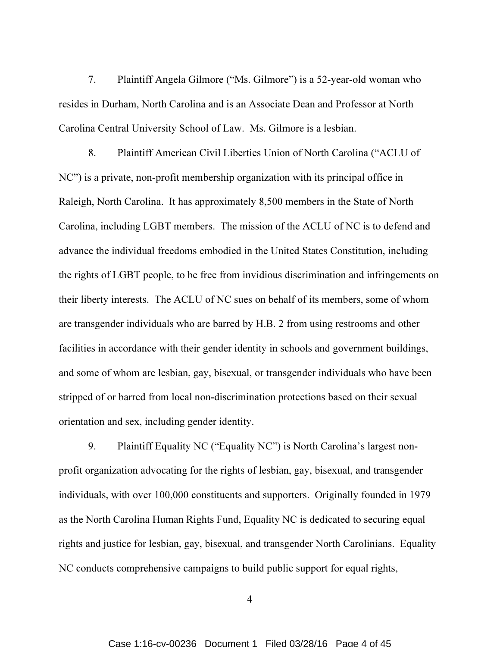7. Plaintiff Angela Gilmore ("Ms. Gilmore") is a 52-year-old woman who resides in Durham, North Carolina and is an Associate Dean and Professor at North Carolina Central University School of Law. Ms. Gilmore is a lesbian.

8. Plaintiff American Civil Liberties Union of North Carolina ("ACLU of NC") is a private, non-profit membership organization with its principal office in Raleigh, North Carolina. It has approximately 8,500 members in the State of North Carolina, including LGBT members. The mission of the ACLU of NC is to defend and advance the individual freedoms embodied in the United States Constitution, including the rights of LGBT people, to be free from invidious discrimination and infringements on their liberty interests. The ACLU of NC sues on behalf of its members, some of whom are transgender individuals who are barred by H.B. 2 from using restrooms and other facilities in accordance with their gender identity in schools and government buildings, and some of whom are lesbian, gay, bisexual, or transgender individuals who have been stripped of or barred from local non-discrimination protections based on their sexual orientation and sex, including gender identity.

9. Plaintiff Equality NC ("Equality NC") is North Carolina's largest nonprofit organization advocating for the rights of lesbian, gay, bisexual, and transgender individuals, with over 100,000 constituents and supporters. Originally founded in 1979 as the North Carolina Human Rights Fund, Equality NC is dedicated to securing equal rights and justice for lesbian, gay, bisexual, and transgender North Carolinians. Equality NC conducts comprehensive campaigns to build public support for equal rights,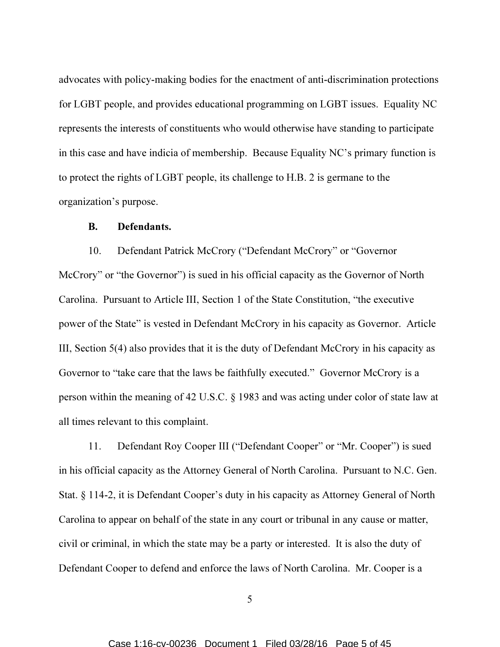advocates with policy-making bodies for the enactment of anti-discrimination protections for LGBT people, and provides educational programming on LGBT issues. Equality NC represents the interests of constituents who would otherwise have standing to participate in this case and have indicia of membership. Because Equality NC's primary function is to protect the rights of LGBT people, its challenge to H.B. 2 is germane to the organization's purpose.

#### B. Defendants.

10. Defendant Patrick McCrory ("Defendant McCrory" or "Governor McCrory" or "the Governor") is sued in his official capacity as the Governor of North Carolina. Pursuant to Article III, Section 1 of the State Constitution, "the executive power of the State" is vested in Defendant McCrory in his capacity as Governor. Article III, Section 5(4) also provides that it is the duty of Defendant McCrory in his capacity as Governor to "take care that the laws be faithfully executed." Governor McCrory is a person within the meaning of 42 U.S.C. § 1983 and was acting under color of state law at all times relevant to this complaint.

11. Defendant Roy Cooper III ("Defendant Cooper" or "Mr. Cooper") is sued in his official capacity as the Attorney General of North Carolina. Pursuant to N.C. Gen. Stat. § 114-2, it is Defendant Cooper's duty in his capacity as Attorney General of North Carolina to appear on behalf of the state in any court or tribunal in any cause or matter, civil or criminal, in which the state may be a party or interested. It is also the duty of Defendant Cooper to defend and enforce the laws of North Carolina. Mr. Cooper is a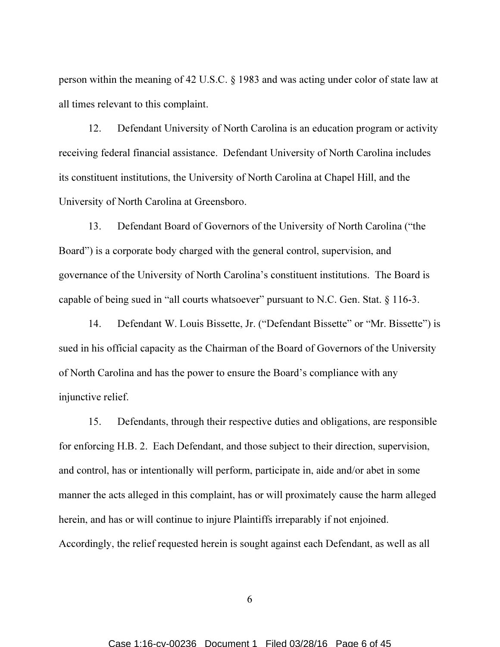person within the meaning of 42 U.S.C. § 1983 and was acting under color of state law at all times relevant to this complaint.

12. Defendant University of North Carolina is an education program or activity receiving federal financial assistance. Defendant University of North Carolina includes its constituent institutions, the University of North Carolina at Chapel Hill, and the University of North Carolina at Greensboro.

13. Defendant Board of Governors of the University of North Carolina ("the Board") is a corporate body charged with the general control, supervision, and governance of the University of North Carolina's constituent institutions. The Board is capable of being sued in "all courts whatsoever" pursuant to N.C. Gen. Stat. § 116-3.

14. Defendant W. Louis Bissette, Jr. ("Defendant Bissette" or "Mr. Bissette") is sued in his official capacity as the Chairman of the Board of Governors of the University of North Carolina and has the power to ensure the Board's compliance with any injunctive relief.

15. Defendants, through their respective duties and obligations, are responsible for enforcing H.B. 2. Each Defendant, and those subject to their direction, supervision, and control, has or intentionally will perform, participate in, aide and/or abet in some manner the acts alleged in this complaint, has or will proximately cause the harm alleged herein, and has or will continue to injure Plaintiffs irreparably if not enjoined. Accordingly, the relief requested herein is sought against each Defendant, as well as all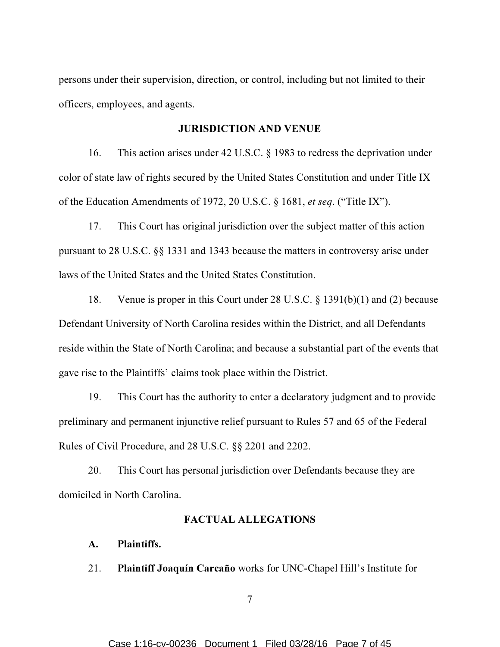persons under their supervision, direction, or control, including but not limited to their officers, employees, and agents.

#### JURISDICTION AND VENUE

16. This action arises under 42 U.S.C. § 1983 to redress the deprivation under color of state law of rights secured by the United States Constitution and under Title IX of the Education Amendments of 1972, 20 U.S.C. § 1681, et seq. ("Title IX").

17. This Court has original jurisdiction over the subject matter of this action pursuant to 28 U.S.C. §§ 1331 and 1343 because the matters in controversy arise under laws of the United States and the United States Constitution.

18. Venue is proper in this Court under 28 U.S.C. § 1391(b)(1) and (2) because Defendant University of North Carolina resides within the District, and all Defendants reside within the State of North Carolina; and because a substantial part of the events that gave rise to the Plaintiffs' claims took place within the District.

19. This Court has the authority to enter a declaratory judgment and to provide preliminary and permanent injunctive relief pursuant to Rules 57 and 65 of the Federal Rules of Civil Procedure, and 28 U.S.C. §§ 2201 and 2202.

20. This Court has personal jurisdiction over Defendants because they are domiciled in North Carolina.

### FACTUAL ALLEGATIONS

### A. Plaintiffs.

21. Plaintiff Joaquín Carcaño works for UNC-Chapel Hill's Institute for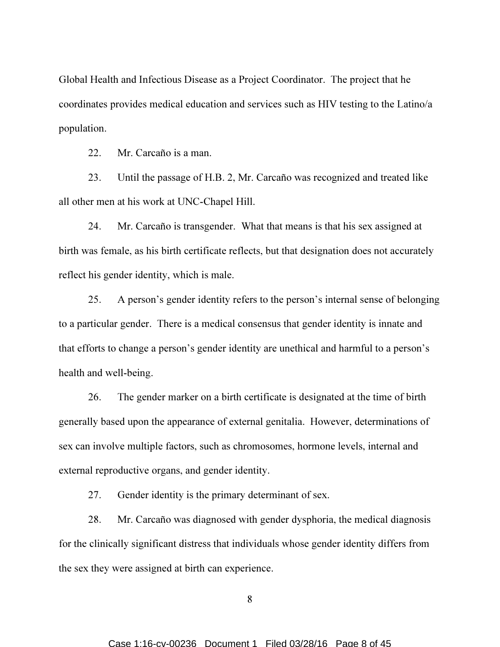Global Health and Infectious Disease as a Project Coordinator. The project that he coordinates provides medical education and services such as HIV testing to the Latino/a population.

22. Mr. Carcaño is a man.

23. Until the passage of H.B. 2, Mr. Carcaño was recognized and treated like all other men at his work at UNC-Chapel Hill.

24. Mr. Carcaño is transgender. What that means is that his sex assigned at birth was female, as his birth certificate reflects, but that designation does not accurately reflect his gender identity, which is male.

25. A person's gender identity refers to the person's internal sense of belonging to a particular gender. There is a medical consensus that gender identity is innate and that efforts to change a person's gender identity are unethical and harmful to a person's health and well-being.

26. The gender marker on a birth certificate is designated at the time of birth generally based upon the appearance of external genitalia. However, determinations of sex can involve multiple factors, such as chromosomes, hormone levels, internal and external reproductive organs, and gender identity.

27. Gender identity is the primary determinant of sex.

28. Mr. Carcaño was diagnosed with gender dysphoria, the medical diagnosis for the clinically significant distress that individuals whose gender identity differs from the sex they were assigned at birth can experience.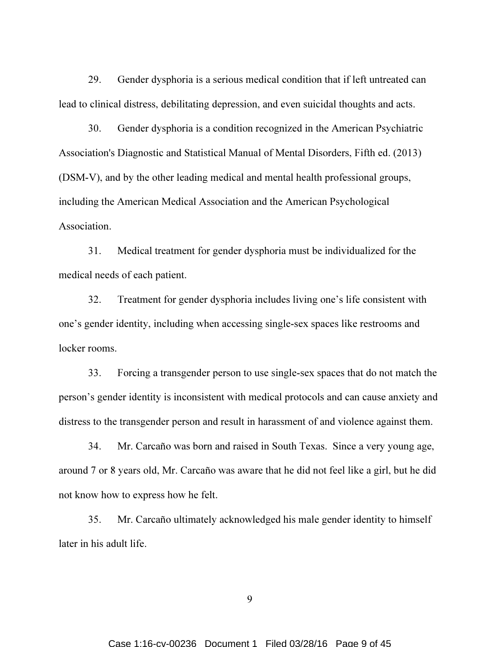29. Gender dysphoria is a serious medical condition that if left untreated can lead to clinical distress, debilitating depression, and even suicidal thoughts and acts.

30. Gender dysphoria is a condition recognized in the American Psychiatric Association's Diagnostic and Statistical Manual of Mental Disorders, Fifth ed. (2013) (DSM-V), and by the other leading medical and mental health professional groups, including the American Medical Association and the American Psychological Association.

31. Medical treatment for gender dysphoria must be individualized for the medical needs of each patient.

32. Treatment for gender dysphoria includes living one's life consistent with one's gender identity, including when accessing single-sex spaces like restrooms and locker rooms.

33. Forcing a transgender person to use single-sex spaces that do not match the person's gender identity is inconsistent with medical protocols and can cause anxiety and distress to the transgender person and result in harassment of and violence against them.

34. Mr. Carcaño was born and raised in South Texas. Since a very young age, around 7 or 8 years old, Mr. Carcaño was aware that he did not feel like a girl, but he did not know how to express how he felt.

35. Mr. Carcaño ultimately acknowledged his male gender identity to himself later in his adult life.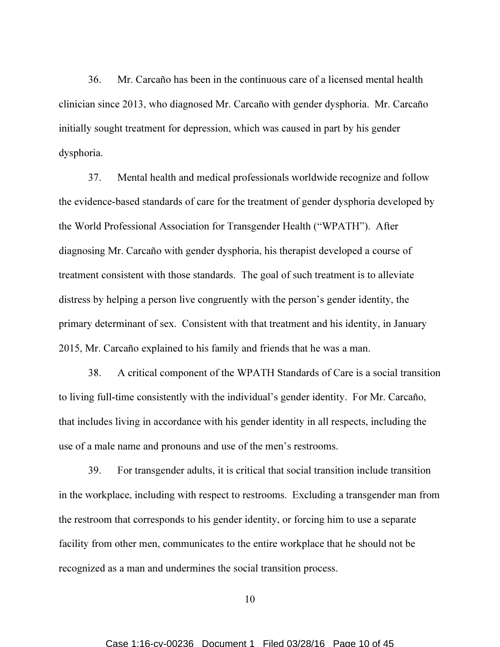36. Mr. Carcaño has been in the continuous care of a licensed mental health clinician since 2013, who diagnosed Mr. Carcaño with gender dysphoria. Mr. Carcaño initially sought treatment for depression, which was caused in part by his gender dysphoria.

37. Mental health and medical professionals worldwide recognize and follow the evidence-based standards of care for the treatment of gender dysphoria developed by the World Professional Association for Transgender Health ("WPATH"). After diagnosing Mr. Carcaño with gender dysphoria, his therapist developed a course of treatment consistent with those standards. The goal of such treatment is to alleviate distress by helping a person live congruently with the person's gender identity, the primary determinant of sex. Consistent with that treatment and his identity, in January 2015, Mr. Carcaño explained to his family and friends that he was a man.

38. A critical component of the WPATH Standards of Care is a social transition to living full-time consistently with the individual's gender identity. For Mr. Carcaño, that includes living in accordance with his gender identity in all respects, including the use of a male name and pronouns and use of the men's restrooms.

39. For transgender adults, it is critical that social transition include transition in the workplace, including with respect to restrooms. Excluding a transgender man from the restroom that corresponds to his gender identity, or forcing him to use a separate facility from other men, communicates to the entire workplace that he should not be recognized as a man and undermines the social transition process.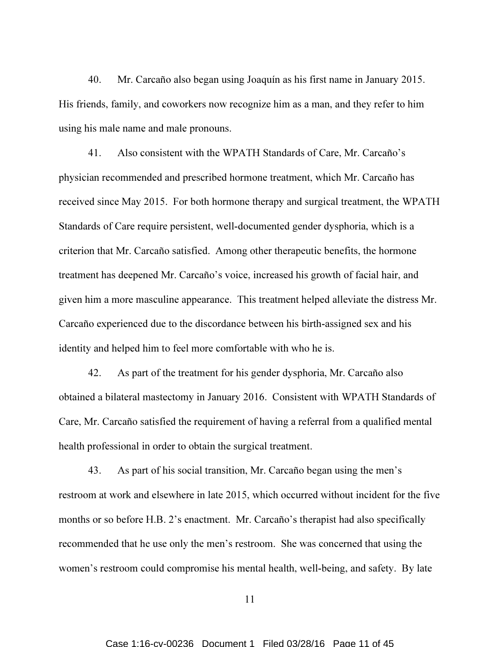40. Mr. Carcaño also began using Joaquín as his first name in January 2015. His friends, family, and coworkers now recognize him as a man, and they refer to him using his male name and male pronouns.

41. Also consistent with the WPATH Standards of Care, Mr. Carcaño's physician recommended and prescribed hormone treatment, which Mr. Carcaño has received since May 2015. For both hormone therapy and surgical treatment, the WPATH Standards of Care require persistent, well-documented gender dysphoria, which is a criterion that Mr. Carcaño satisfied. Among other therapeutic benefits, the hormone treatment has deepened Mr. Carcaño's voice, increased his growth of facial hair, and given him a more masculine appearance. This treatment helped alleviate the distress Mr. Carcaño experienced due to the discordance between his birth-assigned sex and his identity and helped him to feel more comfortable with who he is.

42. As part of the treatment for his gender dysphoria, Mr. Carcaño also obtained a bilateral mastectomy in January 2016. Consistent with WPATH Standards of Care, Mr. Carcaño satisfied the requirement of having a referral from a qualified mental health professional in order to obtain the surgical treatment.

43. As part of his social transition, Mr. Carcaño began using the men's restroom at work and elsewhere in late 2015, which occurred without incident for the five months or so before H.B. 2's enactment. Mr. Carcaño's therapist had also specifically recommended that he use only the men's restroom. She was concerned that using the women's restroom could compromise his mental health, well-being, and safety. By late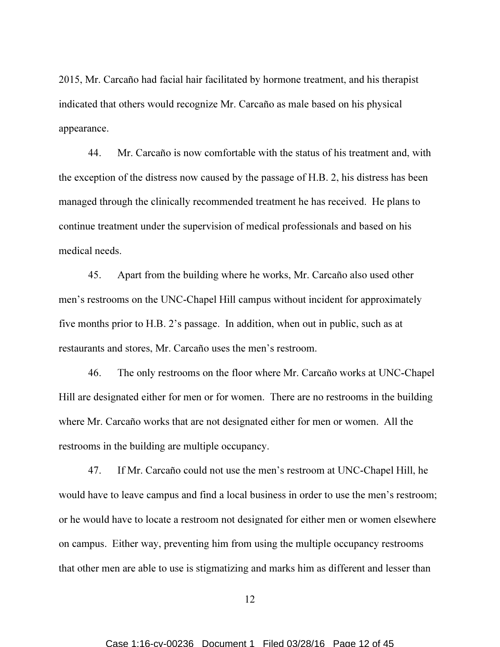2015, Mr. Carcaño had facial hair facilitated by hormone treatment, and his therapist indicated that others would recognize Mr. Carcaño as male based on his physical appearance.

44. Mr. Carcaño is now comfortable with the status of his treatment and, with the exception of the distress now caused by the passage of H.B. 2, his distress has been managed through the clinically recommended treatment he has received. He plans to continue treatment under the supervision of medical professionals and based on his medical needs.

45. Apart from the building where he works, Mr. Carcaño also used other men's restrooms on the UNC-Chapel Hill campus without incident for approximately five months prior to H.B. 2's passage. In addition, when out in public, such as at restaurants and stores, Mr. Carcaño uses the men's restroom.

46. The only restrooms on the floor where Mr. Carcaño works at UNC-Chapel Hill are designated either for men or for women. There are no restrooms in the building where Mr. Carcaño works that are not designated either for men or women. All the restrooms in the building are multiple occupancy.

47. If Mr. Carcaño could not use the men's restroom at UNC-Chapel Hill, he would have to leave campus and find a local business in order to use the men's restroom; or he would have to locate a restroom not designated for either men or women elsewhere on campus. Either way, preventing him from using the multiple occupancy restrooms that other men are able to use is stigmatizing and marks him as different and lesser than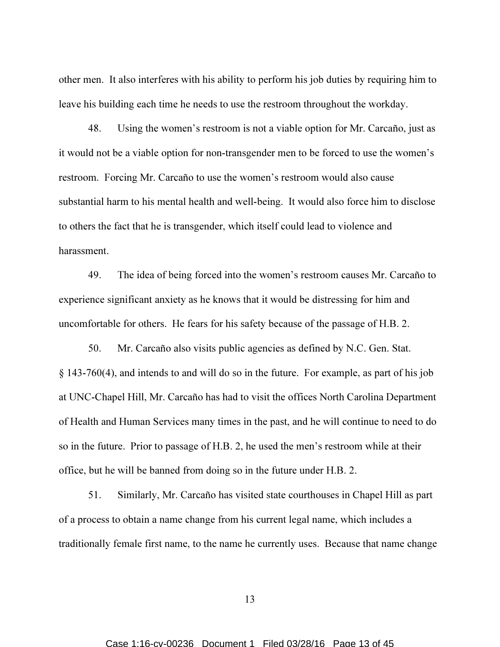other men. It also interferes with his ability to perform his job duties by requiring him to leave his building each time he needs to use the restroom throughout the workday.

48. Using the women's restroom is not a viable option for Mr. Carcaño, just as it would not be a viable option for non-transgender men to be forced to use the women's restroom. Forcing Mr. Carcaño to use the women's restroom would also cause substantial harm to his mental health and well-being. It would also force him to disclose to others the fact that he is transgender, which itself could lead to violence and harassment.

49. The idea of being forced into the women's restroom causes Mr. Carcaño to experience significant anxiety as he knows that it would be distressing for him and uncomfortable for others. He fears for his safety because of the passage of H.B. 2.

50. Mr. Carcaño also visits public agencies as defined by N.C. Gen. Stat. § 143-760(4), and intends to and will do so in the future. For example, as part of his job at UNC-Chapel Hill, Mr. Carcaño has had to visit the offices North Carolina Department of Health and Human Services many times in the past, and he will continue to need to do so in the future. Prior to passage of H.B. 2, he used the men's restroom while at their office, but he will be banned from doing so in the future under H.B. 2.

51. Similarly, Mr. Carcaño has visited state courthouses in Chapel Hill as part of a process to obtain a name change from his current legal name, which includes a traditionally female first name, to the name he currently uses. Because that name change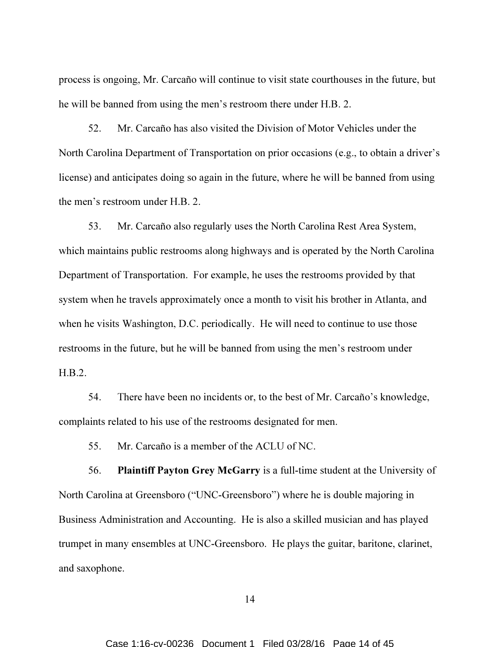process is ongoing, Mr. Carcaño will continue to visit state courthouses in the future, but he will be banned from using the men's restroom there under H.B. 2.

52. Mr. Carcaño has also visited the Division of Motor Vehicles under the North Carolina Department of Transportation on prior occasions (e.g., to obtain a driver's license) and anticipates doing so again in the future, where he will be banned from using the men's restroom under H.B. 2.

53. Mr. Carcaño also regularly uses the North Carolina Rest Area System, which maintains public restrooms along highways and is operated by the North Carolina Department of Transportation. For example, he uses the restrooms provided by that system when he travels approximately once a month to visit his brother in Atlanta, and when he visits Washington, D.C. periodically. He will need to continue to use those restrooms in the future, but he will be banned from using the men's restroom under H.B.2.

54. There have been no incidents or, to the best of Mr. Carcaño's knowledge, complaints related to his use of the restrooms designated for men.

55. Mr. Carcaño is a member of the ACLU of NC.

56. Plaintiff Payton Grey McGarry is a full-time student at the University of North Carolina at Greensboro ("UNC-Greensboro") where he is double majoring in Business Administration and Accounting. He is also a skilled musician and has played trumpet in many ensembles at UNC-Greensboro. He plays the guitar, baritone, clarinet, and saxophone.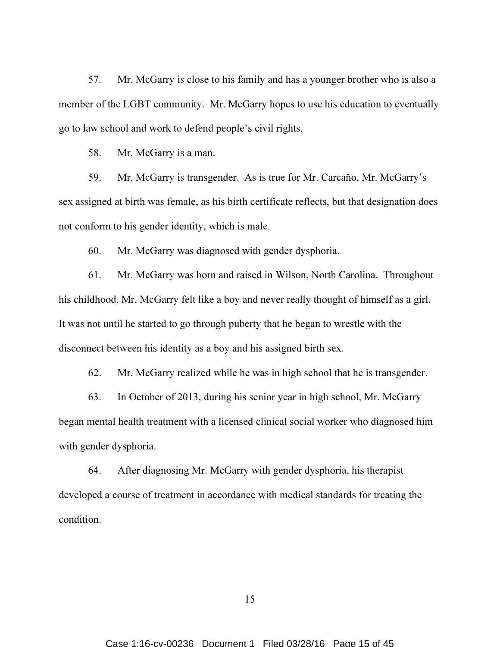57. Mr. McGarry is close to his family and has a younger brother who is also a member of the LGBT community. Mr. McGarry hopes to use his education to eventually go to law school and work to defend people's civil rights.

58. Mr. McGarry is a man.

59. Mr. McGarry is transgender. As is true for Mr. Carcaño, Mr. McGarry's sex assigned at birth was female, as his birth certificate reflects, but that designation does not conform to his gender identity, which is male.

60. Mr. McGarry was diagnosed with gender dysphoria.

61. Mr. McGarry was born and raised in Wilson, North Carolina. Throughout his childhood, Mr. McGarry felt like a boy and never really thought of himself as a girl. It was not until he started to go through puberty that he began to wrestle with the disconnect between his identity as a boy and his assigned birth sex.

62. Mr. McGarry realized while he was in high school that he is transgender.

63. In October of 2013, during his senior year in high school, Mr. McGarry began mental health treatment with a licensed clinical social worker who diagnosed him with gender dysphoria.

64. After diagnosing Mr. McGarry with gender dysphoria, his therapist developed a course of treatment in accordance with medical standards for treating the condition.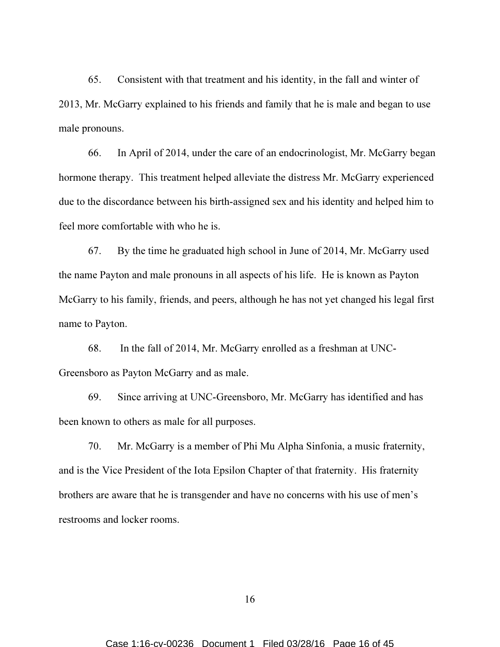65. Consistent with that treatment and his identity, in the fall and winter of 2013, Mr. McGarry explained to his friends and family that he is male and began to use male pronouns.

66. In April of 2014, under the care of an endocrinologist, Mr. McGarry began hormone therapy. This treatment helped alleviate the distress Mr. McGarry experienced due to the discordance between his birth-assigned sex and his identity and helped him to feel more comfortable with who he is.

67. By the time he graduated high school in June of 2014, Mr. McGarry used the name Payton and male pronouns in all aspects of his life. He is known as Payton McGarry to his family, friends, and peers, although he has not yet changed his legal first name to Payton.

68. In the fall of 2014, Mr. McGarry enrolled as a freshman at UNC-Greensboro as Payton McGarry and as male.

69. Since arriving at UNC-Greensboro, Mr. McGarry has identified and has been known to others as male for all purposes.

70. Mr. McGarry is a member of Phi Mu Alpha Sinfonia, a music fraternity, and is the Vice President of the Iota Epsilon Chapter of that fraternity. His fraternity brothers are aware that he is transgender and have no concerns with his use of men's restrooms and locker rooms.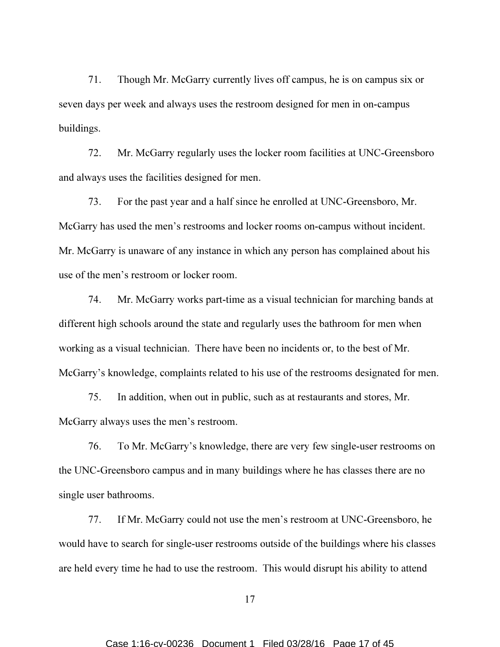71. Though Mr. McGarry currently lives off campus, he is on campus six or seven days per week and always uses the restroom designed for men in on-campus buildings.

72. Mr. McGarry regularly uses the locker room facilities at UNC-Greensboro and always uses the facilities designed for men.

73. For the past year and a half since he enrolled at UNC-Greensboro, Mr. McGarry has used the men's restrooms and locker rooms on-campus without incident. Mr. McGarry is unaware of any instance in which any person has complained about his use of the men's restroom or locker room.

74. Mr. McGarry works part-time as a visual technician for marching bands at different high schools around the state and regularly uses the bathroom for men when working as a visual technician. There have been no incidents or, to the best of Mr. McGarry's knowledge, complaints related to his use of the restrooms designated for men.

75. In addition, when out in public, such as at restaurants and stores, Mr. McGarry always uses the men's restroom.

76. To Mr. McGarry's knowledge, there are very few single-user restrooms on the UNC-Greensboro campus and in many buildings where he has classes there are no single user bathrooms.

77. If Mr. McGarry could not use the men's restroom at UNC-Greensboro, he would have to search for single-user restrooms outside of the buildings where his classes are held every time he had to use the restroom. This would disrupt his ability to attend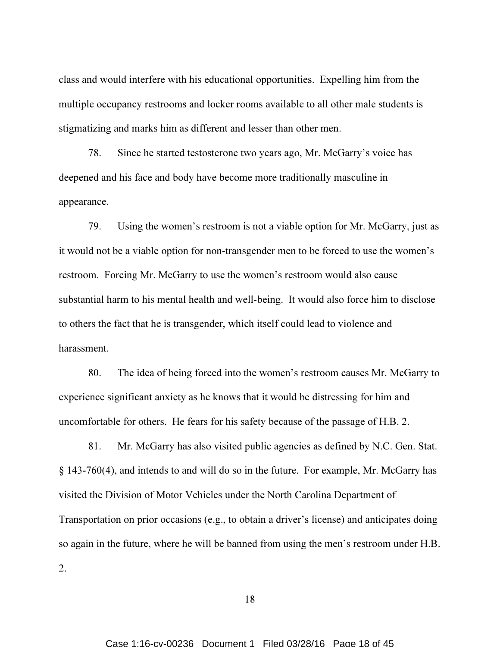class and would interfere with his educational opportunities. Expelling him from the multiple occupancy restrooms and locker rooms available to all other male students is stigmatizing and marks him as different and lesser than other men.

78. Since he started testosterone two years ago, Mr. McGarry's voice has deepened and his face and body have become more traditionally masculine in appearance.

79. Using the women's restroom is not a viable option for Mr. McGarry, just as it would not be a viable option for non-transgender men to be forced to use the women's restroom. Forcing Mr. McGarry to use the women's restroom would also cause substantial harm to his mental health and well-being. It would also force him to disclose to others the fact that he is transgender, which itself could lead to violence and harassment.

80. The idea of being forced into the women's restroom causes Mr. McGarry to experience significant anxiety as he knows that it would be distressing for him and uncomfortable for others. He fears for his safety because of the passage of H.B. 2.

81. Mr. McGarry has also visited public agencies as defined by N.C. Gen. Stat. § 143-760(4), and intends to and will do so in the future. For example, Mr. McGarry has visited the Division of Motor Vehicles under the North Carolina Department of Transportation on prior occasions (e.g., to obtain a driver's license) and anticipates doing so again in the future, where he will be banned from using the men's restroom under H.B. 2.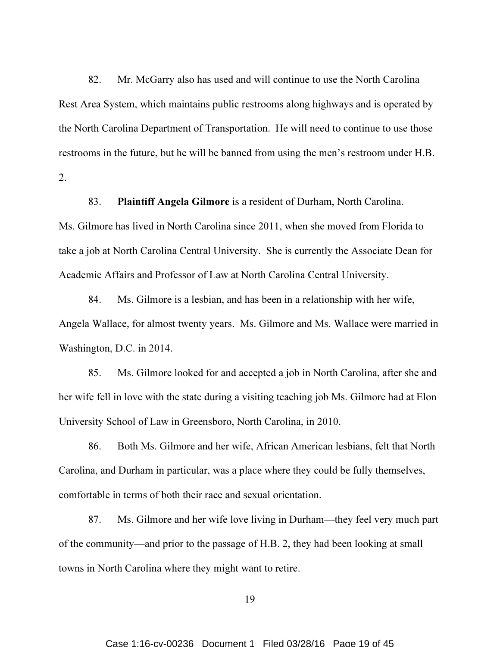82. Mr. McGarry also has used and will continue to use the North Carolina Rest Area System, which maintains public restrooms along highways and is operated by the North Carolina Department of Transportation. He will need to continue to use those restrooms in the future, but he will be banned from using the men's restroom under H.B. 2.

83. Plaintiff Angela Gilmore is a resident of Durham, North Carolina. Ms. Gilmore has lived in North Carolina since 2011, when she moved from Florida to take a job at North Carolina Central University. She is currently the Associate Dean for Academic Affairs and Professor of Law at North Carolina Central University.

84. Ms. Gilmore is a lesbian, and has been in a relationship with her wife, Angela Wallace, for almost twenty years. Ms. Gilmore and Ms. Wallace were married in Washington, D.C. in 2014.

85. Ms. Gilmore looked for and accepted a job in North Carolina, after she and her wife fell in love with the state during a visiting teaching job Ms. Gilmore had at Elon University School of Law in Greensboro, North Carolina, in 2010.

86. Both Ms. Gilmore and her wife, African American lesbians, felt that North Carolina, and Durham in particular, was a place where they could be fully themselves, comfortable in terms of both their race and sexual orientation.

87. Ms. Gilmore and her wife love living in Durham—they feel very much part of the community—and prior to the passage of H.B. 2, they had been looking at small towns in North Carolina where they might want to retire.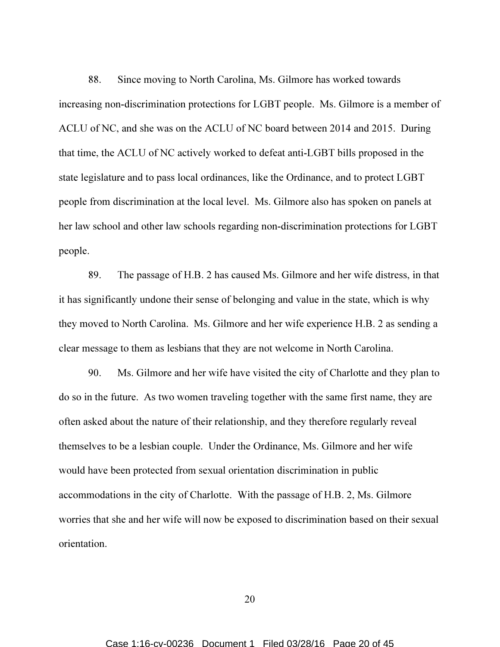88. Since moving to North Carolina, Ms. Gilmore has worked towards increasing non-discrimination protections for LGBT people. Ms. Gilmore is a member of ACLU of NC, and she was on the ACLU of NC board between 2014 and 2015. During that time, the ACLU of NC actively worked to defeat anti-LGBT bills proposed in the state legislature and to pass local ordinances, like the Ordinance, and to protect LGBT people from discrimination at the local level. Ms. Gilmore also has spoken on panels at her law school and other law schools regarding non-discrimination protections for LGBT people.

89. The passage of H.B. 2 has caused Ms. Gilmore and her wife distress, in that it has significantly undone their sense of belonging and value in the state, which is why they moved to North Carolina. Ms. Gilmore and her wife experience H.B. 2 as sending a clear message to them as lesbians that they are not welcome in North Carolina.

90. Ms. Gilmore and her wife have visited the city of Charlotte and they plan to do so in the future. As two women traveling together with the same first name, they are often asked about the nature of their relationship, and they therefore regularly reveal themselves to be a lesbian couple. Under the Ordinance, Ms. Gilmore and her wife would have been protected from sexual orientation discrimination in public accommodations in the city of Charlotte. With the passage of H.B. 2, Ms. Gilmore worries that she and her wife will now be exposed to discrimination based on their sexual orientation.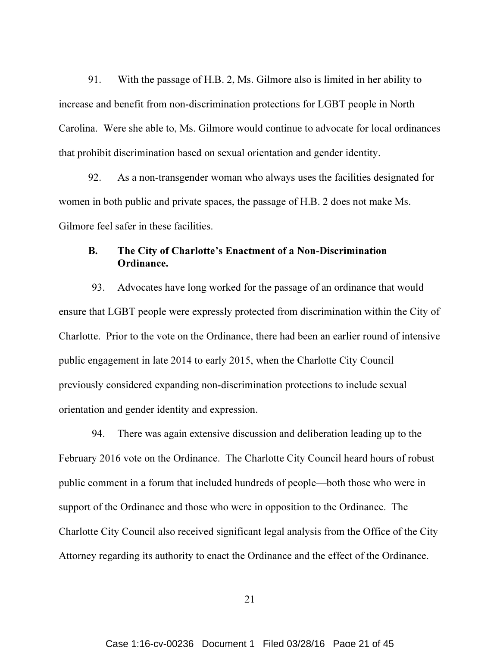91. With the passage of H.B. 2, Ms. Gilmore also is limited in her ability to increase and benefit from non-discrimination protections for LGBT people in North Carolina. Were she able to, Ms. Gilmore would continue to advocate for local ordinances that prohibit discrimination based on sexual orientation and gender identity.

92. As a non-transgender woman who always uses the facilities designated for women in both public and private spaces, the passage of H.B. 2 does not make Ms. Gilmore feel safer in these facilities.

### B. The City of Charlotte's Enactment of a Non-Discrimination Ordinance.

93. Advocates have long worked for the passage of an ordinance that would ensure that LGBT people were expressly protected from discrimination within the City of Charlotte. Prior to the vote on the Ordinance, there had been an earlier round of intensive public engagement in late 2014 to early 2015, when the Charlotte City Council previously considered expanding non-discrimination protections to include sexual orientation and gender identity and expression.

94. There was again extensive discussion and deliberation leading up to the February 2016 vote on the Ordinance. The Charlotte City Council heard hours of robust public comment in a forum that included hundreds of people—both those who were in support of the Ordinance and those who were in opposition to the Ordinance. The Charlotte City Council also received significant legal analysis from the Office of the City Attorney regarding its authority to enact the Ordinance and the effect of the Ordinance.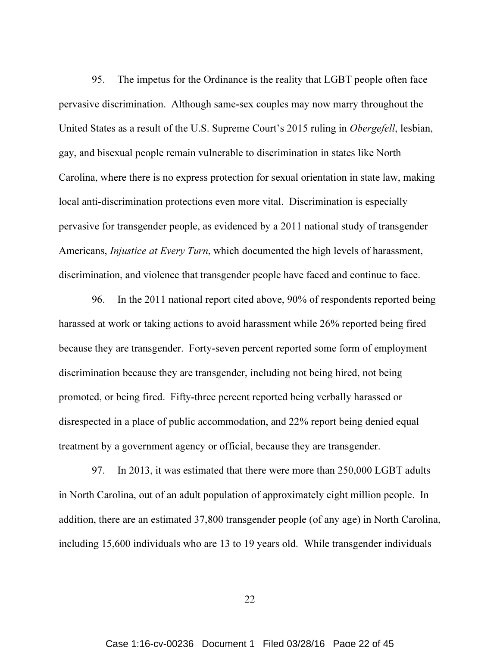95. The impetus for the Ordinance is the reality that LGBT people often face pervasive discrimination. Although same-sex couples may now marry throughout the United States as a result of the U.S. Supreme Court's 2015 ruling in Obergefell, lesbian, gay, and bisexual people remain vulnerable to discrimination in states like North Carolina, where there is no express protection for sexual orientation in state law, making local anti-discrimination protections even more vital. Discrimination is especially pervasive for transgender people, as evidenced by a 2011 national study of transgender Americans, *Injustice at Every Turn*, which documented the high levels of harassment, discrimination, and violence that transgender people have faced and continue to face.

96. In the 2011 national report cited above, 90% of respondents reported being harassed at work or taking actions to avoid harassment while 26% reported being fired because they are transgender. Forty-seven percent reported some form of employment discrimination because they are transgender, including not being hired, not being promoted, or being fired. Fifty-three percent reported being verbally harassed or disrespected in a place of public accommodation, and 22% report being denied equal treatment by a government agency or official, because they are transgender.

97. In 2013, it was estimated that there were more than 250,000 LGBT adults in North Carolina, out of an adult population of approximately eight million people. In addition, there are an estimated 37,800 transgender people (of any age) in North Carolina, including 15,600 individuals who are 13 to 19 years old. While transgender individuals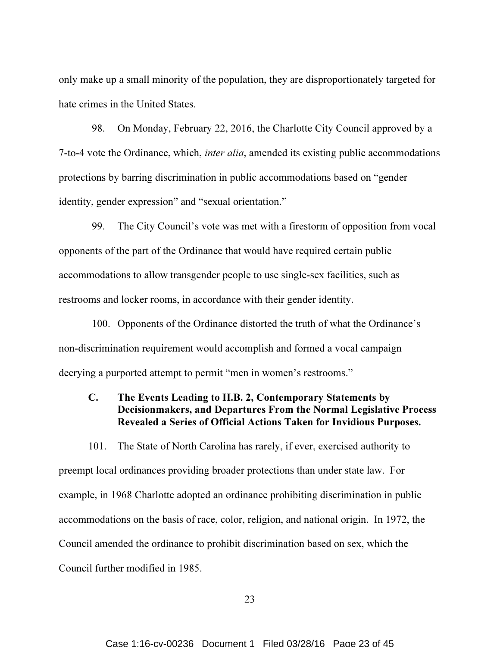only make up a small minority of the population, they are disproportionately targeted for hate crimes in the United States.

98. On Monday, February 22, 2016, the Charlotte City Council approved by a 7-to-4 vote the Ordinance, which, *inter alia*, amended its existing public accommodations protections by barring discrimination in public accommodations based on "gender identity, gender expression" and "sexual orientation."

99. The City Council's vote was met with a firestorm of opposition from vocal opponents of the part of the Ordinance that would have required certain public accommodations to allow transgender people to use single-sex facilities, such as restrooms and locker rooms, in accordance with their gender identity.

100. Opponents of the Ordinance distorted the truth of what the Ordinance's non-discrimination requirement would accomplish and formed a vocal campaign decrying a purported attempt to permit "men in women's restrooms."

# C. The Events Leading to H.B. 2, Contemporary Statements by Decisionmakers, and Departures From the Normal Legislative Process Revealed a Series of Official Actions Taken for Invidious Purposes.

101. The State of North Carolina has rarely, if ever, exercised authority to preempt local ordinances providing broader protections than under state law. For example, in 1968 Charlotte adopted an ordinance prohibiting discrimination in public accommodations on the basis of race, color, religion, and national origin. In 1972, the Council amended the ordinance to prohibit discrimination based on sex, which the Council further modified in 1985.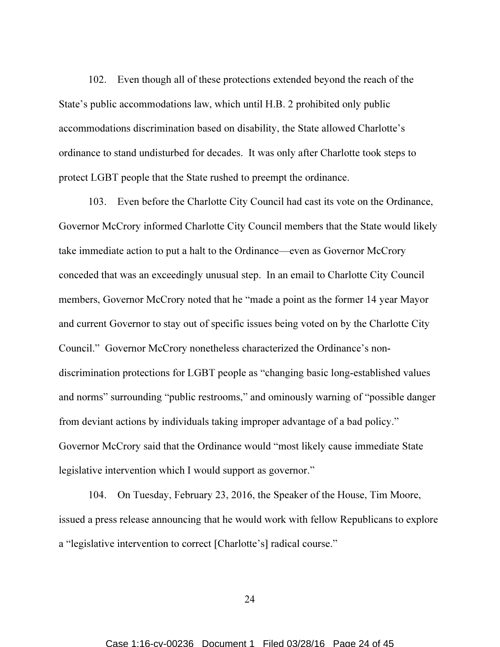102. Even though all of these protections extended beyond the reach of the State's public accommodations law, which until H.B. 2 prohibited only public accommodations discrimination based on disability, the State allowed Charlotte's ordinance to stand undisturbed for decades. It was only after Charlotte took steps to protect LGBT people that the State rushed to preempt the ordinance.

103. Even before the Charlotte City Council had cast its vote on the Ordinance, Governor McCrory informed Charlotte City Council members that the State would likely take immediate action to put a halt to the Ordinance—even as Governor McCrory conceded that was an exceedingly unusual step. In an email to Charlotte City Council members, Governor McCrory noted that he "made a point as the former 14 year Mayor and current Governor to stay out of specific issues being voted on by the Charlotte City Council." Governor McCrory nonetheless characterized the Ordinance's nondiscrimination protections for LGBT people as "changing basic long-established values and norms" surrounding "public restrooms," and ominously warning of "possible danger from deviant actions by individuals taking improper advantage of a bad policy." Governor McCrory said that the Ordinance would "most likely cause immediate State legislative intervention which I would support as governor."

104. On Tuesday, February 23, 2016, the Speaker of the House, Tim Moore, issued a press release announcing that he would work with fellow Republicans to explore a "legislative intervention to correct [Charlotte's] radical course."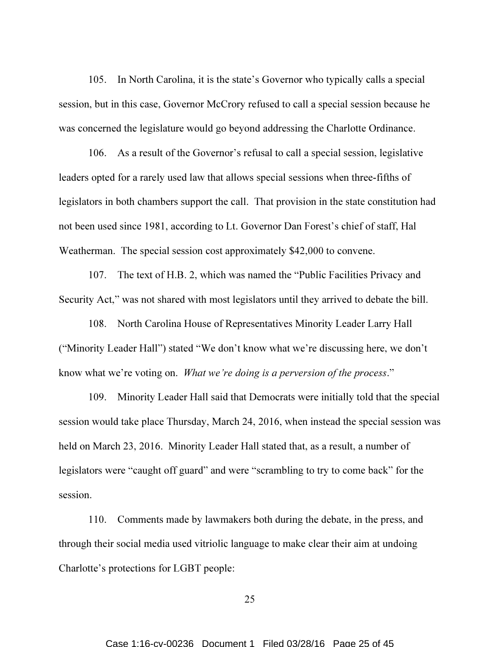105. In North Carolina, it is the state's Governor who typically calls a special session, but in this case, Governor McCrory refused to call a special session because he was concerned the legislature would go beyond addressing the Charlotte Ordinance.

106. As a result of the Governor's refusal to call a special session, legislative leaders opted for a rarely used law that allows special sessions when three-fifths of legislators in both chambers support the call. That provision in the state constitution had not been used since 1981, according to Lt. Governor Dan Forest's chief of staff, Hal Weatherman. The special session cost approximately \$42,000 to convene.

107. The text of H.B. 2, which was named the "Public Facilities Privacy and Security Act," was not shared with most legislators until they arrived to debate the bill.

108. North Carolina House of Representatives Minority Leader Larry Hall ("Minority Leader Hall") stated "We don't know what we're discussing here, we don't know what we're voting on. What we're doing is a perversion of the process."

109. Minority Leader Hall said that Democrats were initially told that the special session would take place Thursday, March 24, 2016, when instead the special session was held on March 23, 2016. Minority Leader Hall stated that, as a result, a number of legislators were "caught off guard" and were "scrambling to try to come back" for the session.

110. Comments made by lawmakers both during the debate, in the press, and through their social media used vitriolic language to make clear their aim at undoing Charlotte's protections for LGBT people: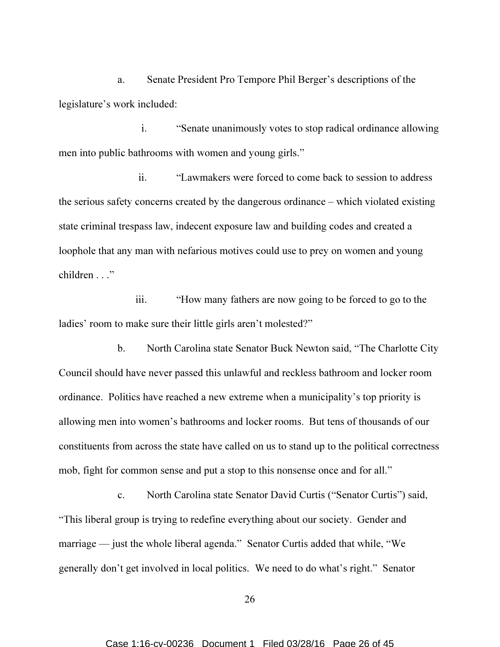a. Senate President Pro Tempore Phil Berger's descriptions of the legislature's work included:

i. "Senate unanimously votes to stop radical ordinance allowing men into public bathrooms with women and young girls."

ii. "Lawmakers were forced to come back to session to address the serious safety concerns created by the dangerous ordinance – which violated existing state criminal trespass law, indecent exposure law and building codes and created a loophole that any man with nefarious motives could use to prey on women and young children . . ."

iii. "How many fathers are now going to be forced to go to the ladies' room to make sure their little girls aren't molested?"

b. North Carolina state Senator Buck Newton said, "The Charlotte City Council should have never passed this unlawful and reckless bathroom and locker room ordinance. Politics have reached a new extreme when a municipality's top priority is allowing men into women's bathrooms and locker rooms. But tens of thousands of our constituents from across the state have called on us to stand up to the political correctness mob, fight for common sense and put a stop to this nonsense once and for all."

c. North Carolina state Senator David Curtis ("Senator Curtis") said, "This liberal group is trying to redefine everything about our society. Gender and marriage — just the whole liberal agenda." Senator Curtis added that while, "We generally don't get involved in local politics. We need to do what's right." Senator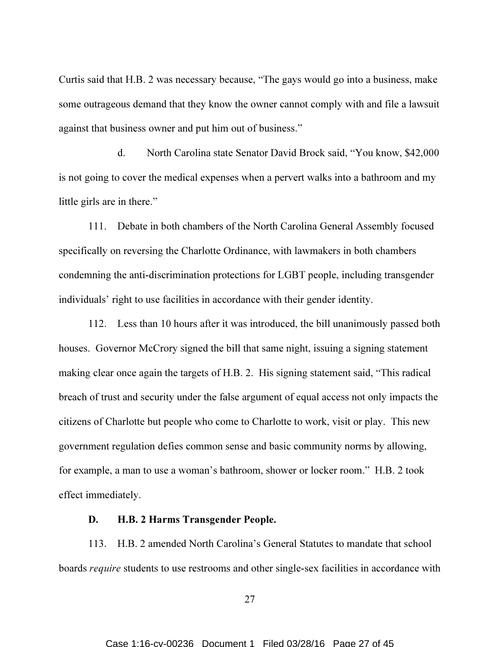Curtis said that H.B. 2 was necessary because, "The gays would go into a business, make some outrageous demand that they know the owner cannot comply with and file a lawsuit against that business owner and put him out of business."

d. North Carolina state Senator David Brock said, "You know, \$42,000 is not going to cover the medical expenses when a pervert walks into a bathroom and my little girls are in there."

111. Debate in both chambers of the North Carolina General Assembly focused specifically on reversing the Charlotte Ordinance, with lawmakers in both chambers condemning the anti-discrimination protections for LGBT people, including transgender individuals' right to use facilities in accordance with their gender identity.

112. Less than 10 hours after it was introduced, the bill unanimously passed both houses. Governor McCrory signed the bill that same night, issuing a signing statement making clear once again the targets of H.B. 2. His signing statement said, "This radical breach of trust and security under the false argument of equal access not only impacts the citizens of Charlotte but people who come to Charlotte to work, visit or play. This new government regulation defies common sense and basic community norms by allowing, for example, a man to use a woman's bathroom, shower or locker room." H.B. 2 took effect immediately.

#### D. H.B. 2 Harms Transgender People.

113. H.B. 2 amended North Carolina's General Statutes to mandate that school boards require students to use restrooms and other single-sex facilities in accordance with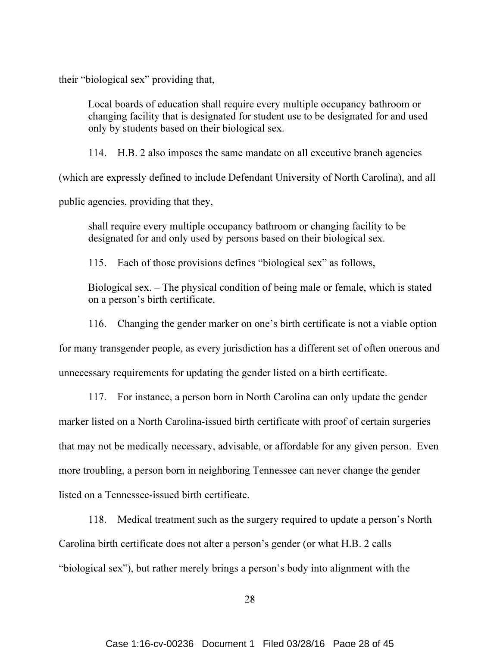their "biological sex" providing that,

Local boards of education shall require every multiple occupancy bathroom or changing facility that is designated for student use to be designated for and used only by students based on their biological sex.

114. H.B. 2 also imposes the same mandate on all executive branch agencies

(which are expressly defined to include Defendant University of North Carolina), and all

public agencies, providing that they,

shall require every multiple occupancy bathroom or changing facility to be designated for and only used by persons based on their biological sex.

115. Each of those provisions defines "biological sex" as follows,

Biological sex. – The physical condition of being male or female, which is stated on a person's birth certificate.

116. Changing the gender marker on one's birth certificate is not a viable option

for many transgender people, as every jurisdiction has a different set of often onerous and

unnecessary requirements for updating the gender listed on a birth certificate.

117. For instance, a person born in North Carolina can only update the gender

marker listed on a North Carolina-issued birth certificate with proof of certain surgeries

that may not be medically necessary, advisable, or affordable for any given person. Even

more troubling, a person born in neighboring Tennessee can never change the gender

listed on a Tennessee-issued birth certificate.

118. Medical treatment such as the surgery required to update a person's North Carolina birth certificate does not alter a person's gender (or what H.B. 2 calls "biological sex"), but rather merely brings a person's body into alignment with the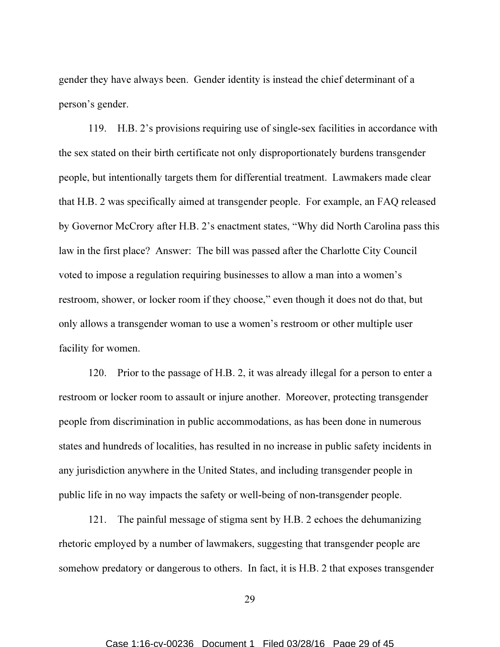gender they have always been. Gender identity is instead the chief determinant of a person's gender.

119. H.B. 2's provisions requiring use of single-sex facilities in accordance with the sex stated on their birth certificate not only disproportionately burdens transgender people, but intentionally targets them for differential treatment. Lawmakers made clear that H.B. 2 was specifically aimed at transgender people. For example, an FAQ released by Governor McCrory after H.B. 2's enactment states, "Why did North Carolina pass this law in the first place? Answer: The bill was passed after the Charlotte City Council voted to impose a regulation requiring businesses to allow a man into a women's restroom, shower, or locker room if they choose," even though it does not do that, but only allows a transgender woman to use a women's restroom or other multiple user facility for women.

120. Prior to the passage of H.B. 2, it was already illegal for a person to enter a restroom or locker room to assault or injure another. Moreover, protecting transgender people from discrimination in public accommodations, as has been done in numerous states and hundreds of localities, has resulted in no increase in public safety incidents in any jurisdiction anywhere in the United States, and including transgender people in public life in no way impacts the safety or well-being of non-transgender people.

121. The painful message of stigma sent by H.B. 2 echoes the dehumanizing rhetoric employed by a number of lawmakers, suggesting that transgender people are somehow predatory or dangerous to others. In fact, it is H.B. 2 that exposes transgender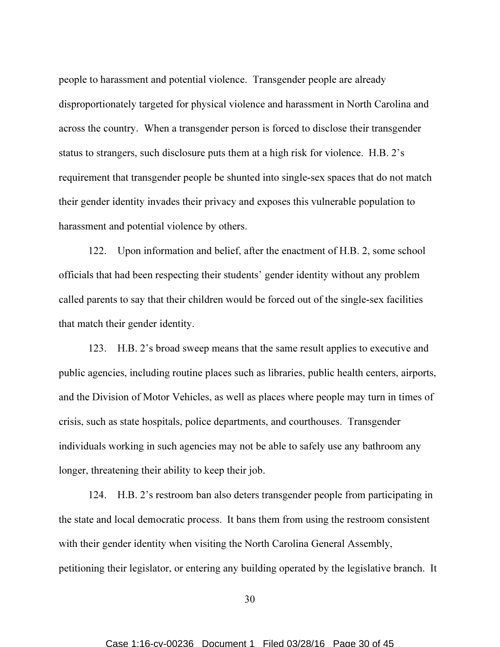people to harassment and potential violence. Transgender people are already disproportionately targeted for physical violence and harassment in North Carolina and across the country. When a transgender person is forced to disclose their transgender status to strangers, such disclosure puts them at a high risk for violence. H.B. 2's requirement that transgender people be shunted into single-sex spaces that do not match their gender identity invades their privacy and exposes this vulnerable population to harassment and potential violence by others.

122. Upon information and belief, after the enactment of H.B. 2, some school officials that had been respecting their students' gender identity without any problem called parents to say that their children would be forced out of the single-sex facilities that match their gender identity.

123. H.B. 2's broad sweep means that the same result applies to executive and public agencies, including routine places such as libraries, public health centers, airports, and the Division of Motor Vehicles, as well as places where people may turn in times of crisis, such as state hospitals, police departments, and courthouses. Transgender individuals working in such agencies may not be able to safely use any bathroom any longer, threatening their ability to keep their job.

124. H.B. 2's restroom ban also deters transgender people from participating in the state and local democratic process. It bans them from using the restroom consistent with their gender identity when visiting the North Carolina General Assembly, petitioning their legislator, or entering any building operated by the legislative branch. It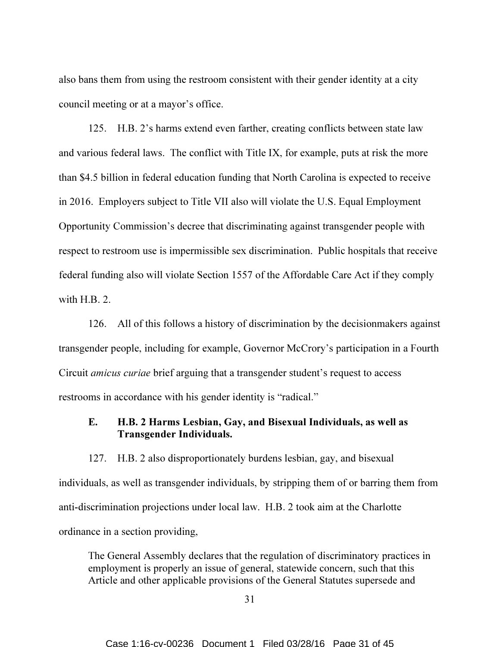also bans them from using the restroom consistent with their gender identity at a city council meeting or at a mayor's office.

125. H.B. 2's harms extend even farther, creating conflicts between state law and various federal laws. The conflict with Title IX, for example, puts at risk the more than \$4.5 billion in federal education funding that North Carolina is expected to receive in 2016. Employers subject to Title VII also will violate the U.S. Equal Employment Opportunity Commission's decree that discriminating against transgender people with respect to restroom use is impermissible sex discrimination. Public hospitals that receive federal funding also will violate Section 1557 of the Affordable Care Act if they comply with H.B. 2.

126. All of this follows a history of discrimination by the decisionmakers against transgender people, including for example, Governor McCrory's participation in a Fourth Circuit amicus curiae brief arguing that a transgender student's request to access restrooms in accordance with his gender identity is "radical."

## E. H.B. 2 Harms Lesbian, Gay, and Bisexual Individuals, as well as Transgender Individuals.

127. H.B. 2 also disproportionately burdens lesbian, gay, and bisexual individuals, as well as transgender individuals, by stripping them of or barring them from anti-discrimination projections under local law. H.B. 2 took aim at the Charlotte ordinance in a section providing,

The General Assembly declares that the regulation of discriminatory practices in employment is properly an issue of general, statewide concern, such that this Article and other applicable provisions of the General Statutes supersede and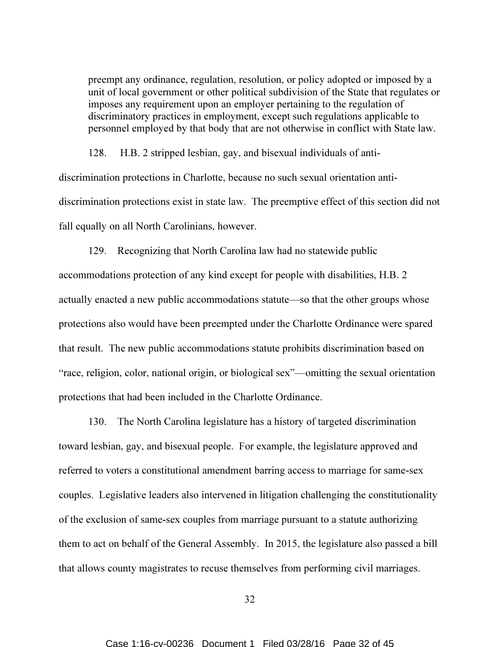preempt any ordinance, regulation, resolution, or policy adopted or imposed by a unit of local government or other political subdivision of the State that regulates or imposes any requirement upon an employer pertaining to the regulation of discriminatory practices in employment, except such regulations applicable to personnel employed by that body that are not otherwise in conflict with State law.

128. H.B. 2 stripped lesbian, gay, and bisexual individuals of antidiscrimination protections in Charlotte, because no such sexual orientation antidiscrimination protections exist in state law. The preemptive effect of this section did not fall equally on all North Carolinians, however.

129. Recognizing that North Carolina law had no statewide public accommodations protection of any kind except for people with disabilities, H.B. 2 actually enacted a new public accommodations statute—so that the other groups whose protections also would have been preempted under the Charlotte Ordinance were spared that result. The new public accommodations statute prohibits discrimination based on "race, religion, color, national origin, or biological sex"—omitting the sexual orientation protections that had been included in the Charlotte Ordinance.

130. The North Carolina legislature has a history of targeted discrimination toward lesbian, gay, and bisexual people. For example, the legislature approved and referred to voters a constitutional amendment barring access to marriage for same-sex couples. Legislative leaders also intervened in litigation challenging the constitutionality of the exclusion of same-sex couples from marriage pursuant to a statute authorizing them to act on behalf of the General Assembly. In 2015, the legislature also passed a bill that allows county magistrates to recuse themselves from performing civil marriages.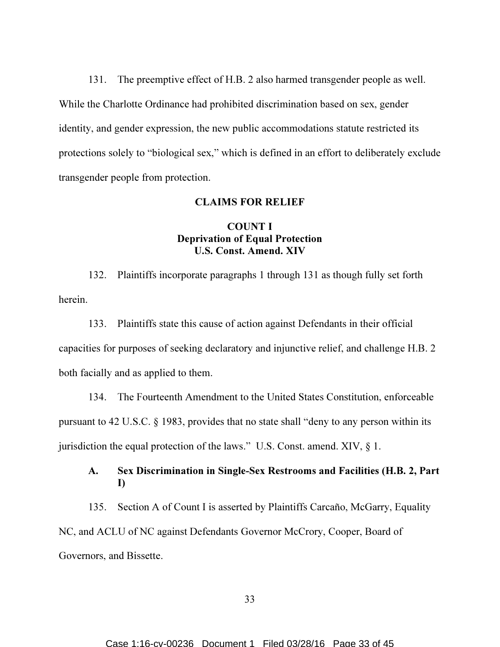131. The preemptive effect of H.B. 2 also harmed transgender people as well. While the Charlotte Ordinance had prohibited discrimination based on sex, gender identity, and gender expression, the new public accommodations statute restricted its protections solely to "biological sex," which is defined in an effort to deliberately exclude transgender people from protection.

### CLAIMS FOR RELIEF

# COUNT I Deprivation of Equal Protection U.S. Const. Amend. XIV

132. Plaintiffs incorporate paragraphs 1 through 131 as though fully set forth herein.

133. Plaintiffs state this cause of action against Defendants in their official capacities for purposes of seeking declaratory and injunctive relief, and challenge H.B. 2 both facially and as applied to them.

134. The Fourteenth Amendment to the United States Constitution, enforceable pursuant to 42 U.S.C. § 1983, provides that no state shall "deny to any person within its jurisdiction the equal protection of the laws." U.S. Const. amend. XIV, § 1.

## A. Sex Discrimination in Single-Sex Restrooms and Facilities (H.B. 2, Part I)

135. Section A of Count I is asserted by Plaintiffs Carcaño, McGarry, Equality NC, and ACLU of NC against Defendants Governor McCrory, Cooper, Board of Governors, and Bissette.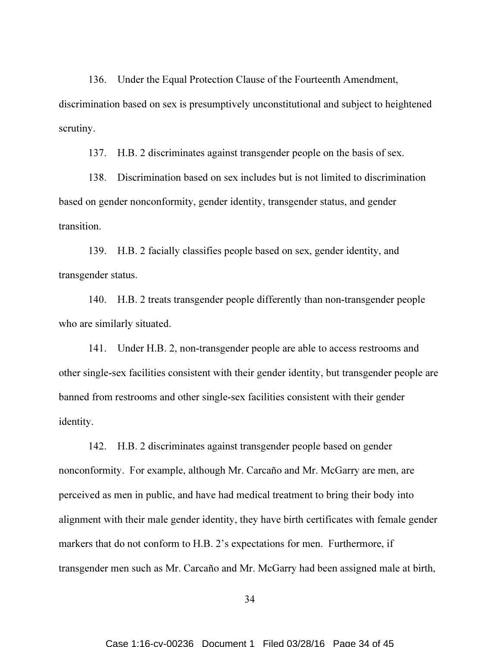136. Under the Equal Protection Clause of the Fourteenth Amendment, discrimination based on sex is presumptively unconstitutional and subject to heightened scrutiny.

137. H.B. 2 discriminates against transgender people on the basis of sex.

138. Discrimination based on sex includes but is not limited to discrimination based on gender nonconformity, gender identity, transgender status, and gender transition.

139. H.B. 2 facially classifies people based on sex, gender identity, and transgender status.

140. H.B. 2 treats transgender people differently than non-transgender people who are similarly situated.

141. Under H.B. 2, non-transgender people are able to access restrooms and other single-sex facilities consistent with their gender identity, but transgender people are banned from restrooms and other single-sex facilities consistent with their gender identity.

142. H.B. 2 discriminates against transgender people based on gender nonconformity. For example, although Mr. Carcaño and Mr. McGarry are men, are perceived as men in public, and have had medical treatment to bring their body into alignment with their male gender identity, they have birth certificates with female gender markers that do not conform to H.B. 2's expectations for men. Furthermore, if transgender men such as Mr. Carcaño and Mr. McGarry had been assigned male at birth,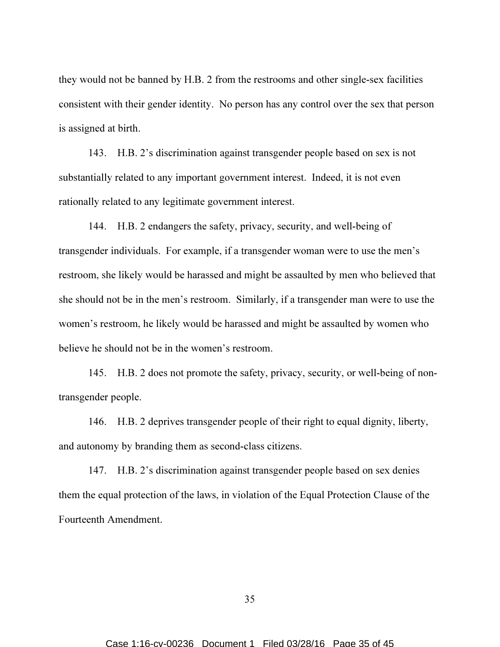they would not be banned by H.B. 2 from the restrooms and other single-sex facilities consistent with their gender identity. No person has any control over the sex that person is assigned at birth.

143. H.B. 2's discrimination against transgender people based on sex is not substantially related to any important government interest. Indeed, it is not even rationally related to any legitimate government interest.

144. H.B. 2 endangers the safety, privacy, security, and well-being of transgender individuals. For example, if a transgender woman were to use the men's restroom, she likely would be harassed and might be assaulted by men who believed that she should not be in the men's restroom. Similarly, if a transgender man were to use the women's restroom, he likely would be harassed and might be assaulted by women who believe he should not be in the women's restroom.

145. H.B. 2 does not promote the safety, privacy, security, or well-being of nontransgender people.

146. H.B. 2 deprives transgender people of their right to equal dignity, liberty, and autonomy by branding them as second-class citizens.

147. H.B. 2's discrimination against transgender people based on sex denies them the equal protection of the laws, in violation of the Equal Protection Clause of the Fourteenth Amendment.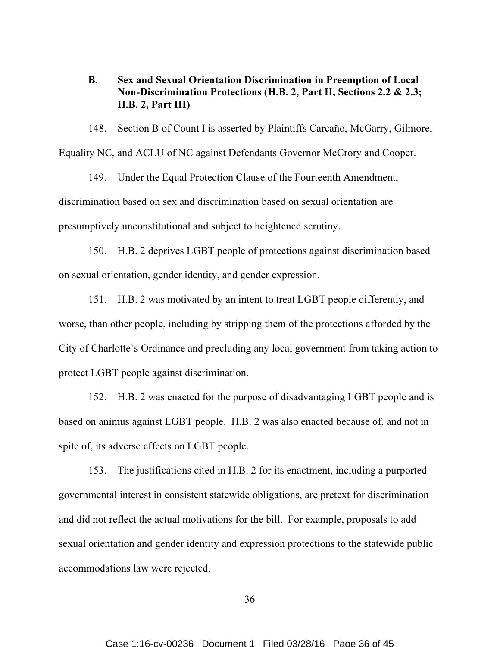B. Sex and Sexual Orientation Discrimination in Preemption of Local Non-Discrimination Protections (H.B. 2, Part II, Sections 2.2 & 2.3; H.B. 2, Part III)

148. Section B of Count I is asserted by Plaintiffs Carcaño, McGarry, Gilmore, Equality NC, and ACLU of NC against Defendants Governor McCrory and Cooper.

149. Under the Equal Protection Clause of the Fourteenth Amendment, discrimination based on sex and discrimination based on sexual orientation are presumptively unconstitutional and subject to heightened scrutiny.

150. H.B. 2 deprives LGBT people of protections against discrimination based on sexual orientation, gender identity, and gender expression.

151. H.B. 2 was motivated by an intent to treat LGBT people differently, and worse, than other people, including by stripping them of the protections afforded by the City of Charlotte's Ordinance and precluding any local government from taking action to protect LGBT people against discrimination.

152. H.B. 2 was enacted for the purpose of disadvantaging LGBT people and is based on animus against LGBT people. H.B. 2 was also enacted because of, and not in spite of, its adverse effects on LGBT people.

153. The justifications cited in H.B. 2 for its enactment, including a purported governmental interest in consistent statewide obligations, are pretext for discrimination and did not reflect the actual motivations for the bill. For example, proposals to add sexual orientation and gender identity and expression protections to the statewide public accommodations law were rejected.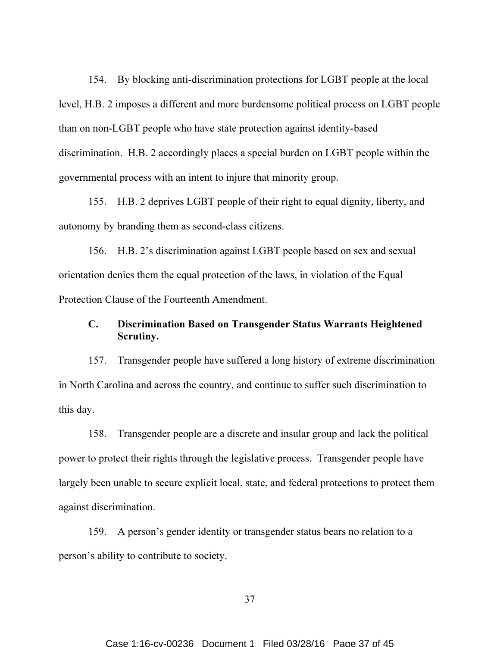154. By blocking anti-discrimination protections for LGBT people at the local level, H.B. 2 imposes a different and more burdensome political process on LGBT people than on non-LGBT people who have state protection against identity-based discrimination. H.B. 2 accordingly places a special burden on LGBT people within the governmental process with an intent to injure that minority group.

155. H.B. 2 deprives LGBT people of their right to equal dignity, liberty, and autonomy by branding them as second-class citizens.

156. H.B. 2's discrimination against LGBT people based on sex and sexual orientation denies them the equal protection of the laws, in violation of the Equal Protection Clause of the Fourteenth Amendment.

# C. Discrimination Based on Transgender Status Warrants Heightened Scrutiny.

157. Transgender people have suffered a long history of extreme discrimination in North Carolina and across the country, and continue to suffer such discrimination to this day.

158. Transgender people are a discrete and insular group and lack the political power to protect their rights through the legislative process. Transgender people have largely been unable to secure explicit local, state, and federal protections to protect them against discrimination.

159. A person's gender identity or transgender status bears no relation to a person's ability to contribute to society.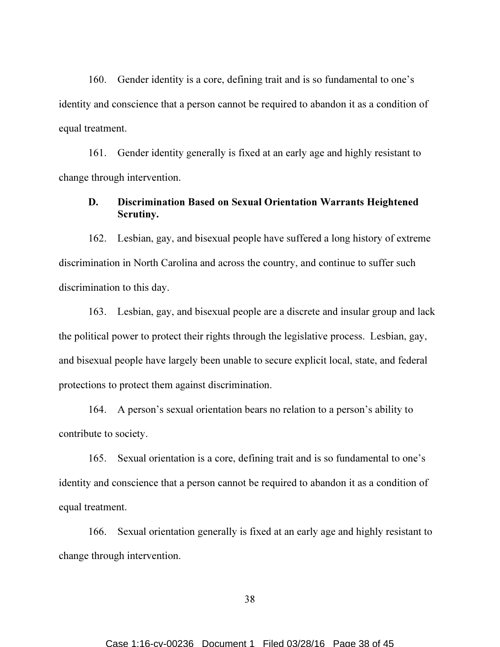160. Gender identity is a core, defining trait and is so fundamental to one's identity and conscience that a person cannot be required to abandon it as a condition of equal treatment.

161. Gender identity generally is fixed at an early age and highly resistant to change through intervention.

## D. Discrimination Based on Sexual Orientation Warrants Heightened Scrutiny.

162. Lesbian, gay, and bisexual people have suffered a long history of extreme discrimination in North Carolina and across the country, and continue to suffer such discrimination to this day.

163. Lesbian, gay, and bisexual people are a discrete and insular group and lack the political power to protect their rights through the legislative process. Lesbian, gay, and bisexual people have largely been unable to secure explicit local, state, and federal protections to protect them against discrimination.

164. A person's sexual orientation bears no relation to a person's ability to contribute to society.

165. Sexual orientation is a core, defining trait and is so fundamental to one's identity and conscience that a person cannot be required to abandon it as a condition of equal treatment.

166. Sexual orientation generally is fixed at an early age and highly resistant to change through intervention.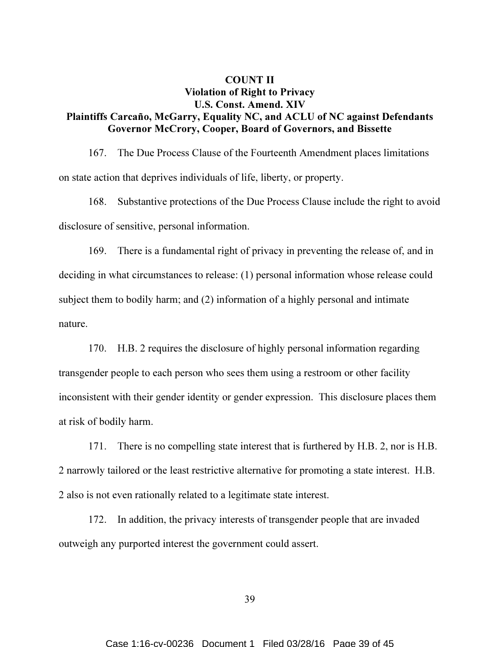# COUNT II Violation of Right to Privacy U.S. Const. Amend. XIV Plaintiffs Carcaño, McGarry, Equality NC, and ACLU of NC against Defendants Governor McCrory, Cooper, Board of Governors, and Bissette

167. The Due Process Clause of the Fourteenth Amendment places limitations on state action that deprives individuals of life, liberty, or property.

168. Substantive protections of the Due Process Clause include the right to avoid disclosure of sensitive, personal information.

169. There is a fundamental right of privacy in preventing the release of, and in deciding in what circumstances to release: (1) personal information whose release could subject them to bodily harm; and (2) information of a highly personal and intimate nature.

170. H.B. 2 requires the disclosure of highly personal information regarding transgender people to each person who sees them using a restroom or other facility inconsistent with their gender identity or gender expression. This disclosure places them at risk of bodily harm.

171. There is no compelling state interest that is furthered by H.B. 2, nor is H.B. 2 narrowly tailored or the least restrictive alternative for promoting a state interest. H.B. 2 also is not even rationally related to a legitimate state interest.

172. In addition, the privacy interests of transgender people that are invaded outweigh any purported interest the government could assert.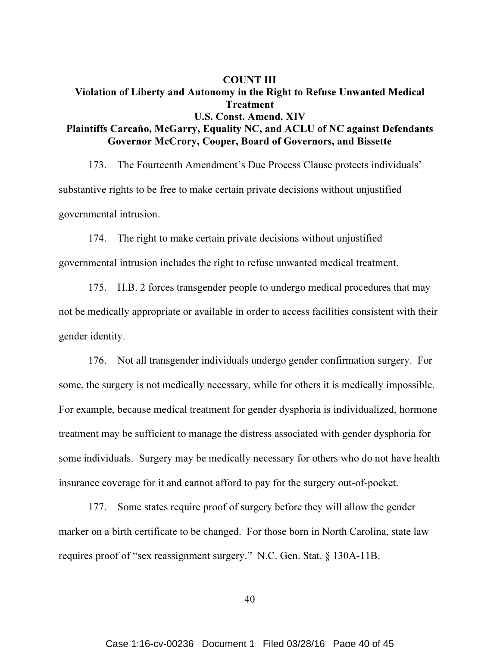# COUNT III Violation of Liberty and Autonomy in the Right to Refuse Unwanted Medical Treatment U.S. Const. Amend. XIV Plaintiffs Carcaño, McGarry, Equality NC, and ACLU of NC against Defendants Governor McCrory, Cooper, Board of Governors, and Bissette

173. The Fourteenth Amendment's Due Process Clause protects individuals' substantive rights to be free to make certain private decisions without unjustified governmental intrusion.

174. The right to make certain private decisions without unjustified governmental intrusion includes the right to refuse unwanted medical treatment.

175. H.B. 2 forces transgender people to undergo medical procedures that may not be medically appropriate or available in order to access facilities consistent with their gender identity.

176. Not all transgender individuals undergo gender confirmation surgery. For some, the surgery is not medically necessary, while for others it is medically impossible. For example, because medical treatment for gender dysphoria is individualized, hormone treatment may be sufficient to manage the distress associated with gender dysphoria for some individuals. Surgery may be medically necessary for others who do not have health insurance coverage for it and cannot afford to pay for the surgery out-of-pocket.

177. Some states require proof of surgery before they will allow the gender marker on a birth certificate to be changed. For those born in North Carolina, state law requires proof of "sex reassignment surgery." N.C. Gen. Stat. § 130A-11B.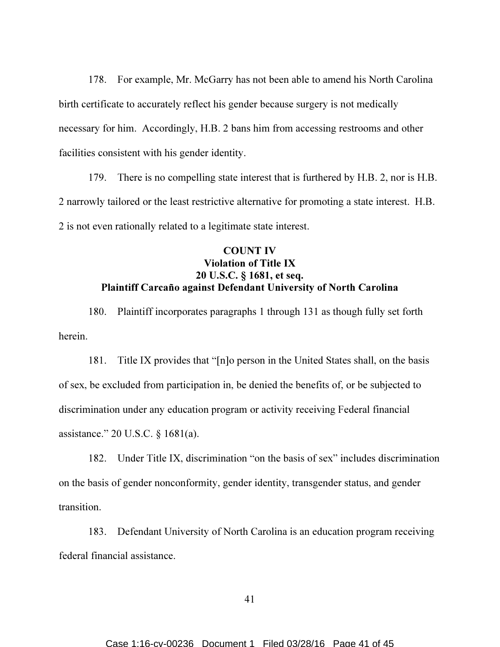178. For example, Mr. McGarry has not been able to amend his North Carolina birth certificate to accurately reflect his gender because surgery is not medically necessary for him. Accordingly, H.B. 2 bans him from accessing restrooms and other facilities consistent with his gender identity.

179. There is no compelling state interest that is furthered by H.B. 2, nor is H.B. 2 narrowly tailored or the least restrictive alternative for promoting a state interest. H.B. 2 is not even rationally related to a legitimate state interest.

# COUNT IV Violation of Title IX 20 U.S.C. § 1681, et seq. Plaintiff Carcaño against Defendant University of North Carolina

180. Plaintiff incorporates paragraphs 1 through 131 as though fully set forth herein.

181. Title IX provides that "[n]o person in the United States shall, on the basis of sex, be excluded from participation in, be denied the benefits of, or be subjected to discrimination under any education program or activity receiving Federal financial assistance." 20 U.S.C. § 1681(a).

182. Under Title IX, discrimination "on the basis of sex" includes discrimination on the basis of gender nonconformity, gender identity, transgender status, and gender transition.

183. Defendant University of North Carolina is an education program receiving federal financial assistance.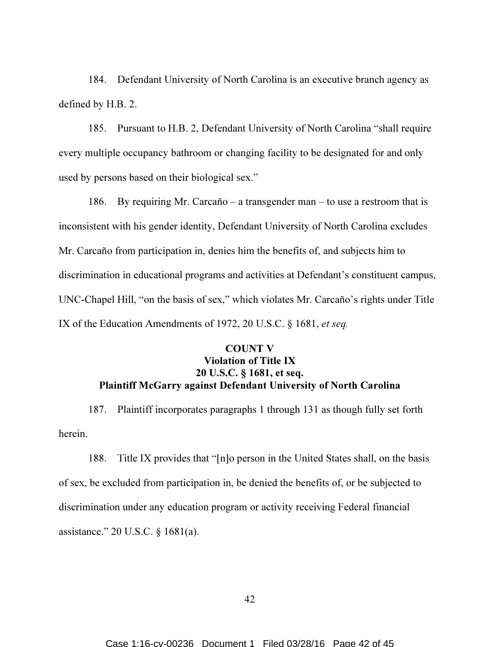184. Defendant University of North Carolina is an executive branch agency as defined by H.B. 2.

185. Pursuant to H.B. 2, Defendant University of North Carolina "shall require every multiple occupancy bathroom or changing facility to be designated for and only used by persons based on their biological sex."

186. By requiring Mr. Carcaño – a transgender man – to use a restroom that is inconsistent with his gender identity, Defendant University of North Carolina excludes Mr. Carcaño from participation in, denies him the benefits of, and subjects him to discrimination in educational programs and activities at Defendant's constituent campus, UNC-Chapel Hill, "on the basis of sex," which violates Mr. Carcaño's rights under Title IX of the Education Amendments of 1972, 20 U.S.C. § 1681, et seq.

# COUNT V Violation of Title IX 20 U.S.C. § 1681, et seq. Plaintiff McGarry against Defendant University of North Carolina

187. Plaintiff incorporates paragraphs 1 through 131 as though fully set forth herein.

188. Title IX provides that "[n]o person in the United States shall, on the basis of sex, be excluded from participation in, be denied the benefits of, or be subjected to discrimination under any education program or activity receiving Federal financial assistance." 20 U.S.C. § 1681(a).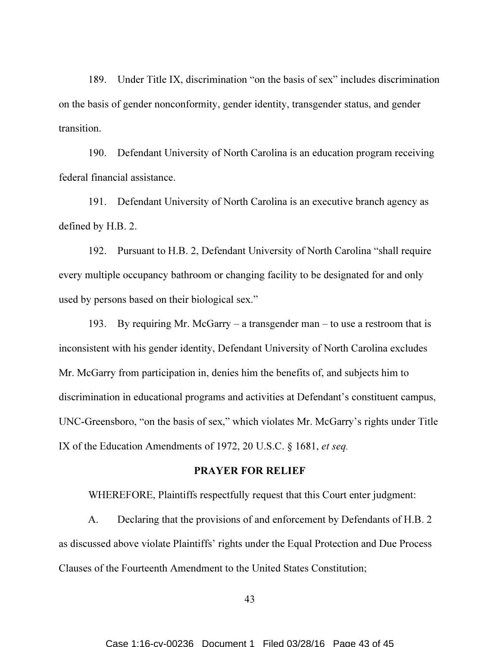189. Under Title IX, discrimination "on the basis of sex" includes discrimination on the basis of gender nonconformity, gender identity, transgender status, and gender transition.

190. Defendant University of North Carolina is an education program receiving federal financial assistance.

191. Defendant University of North Carolina is an executive branch agency as defined by H.B. 2.

192. Pursuant to H.B. 2, Defendant University of North Carolina "shall require every multiple occupancy bathroom or changing facility to be designated for and only used by persons based on their biological sex."

193. By requiring Mr. McGarry – a transgender man – to use a restroom that is inconsistent with his gender identity, Defendant University of North Carolina excludes Mr. McGarry from participation in, denies him the benefits of, and subjects him to discrimination in educational programs and activities at Defendant's constituent campus, UNC-Greensboro, "on the basis of sex," which violates Mr. McGarry's rights under Title IX of the Education Amendments of 1972, 20 U.S.C. § 1681, et seq.

#### PRAYER FOR RELIEF

WHEREFORE, Plaintiffs respectfully request that this Court enter judgment:

A. Declaring that the provisions of and enforcement by Defendants of H.B. 2 as discussed above violate Plaintiffs' rights under the Equal Protection and Due Process Clauses of the Fourteenth Amendment to the United States Constitution;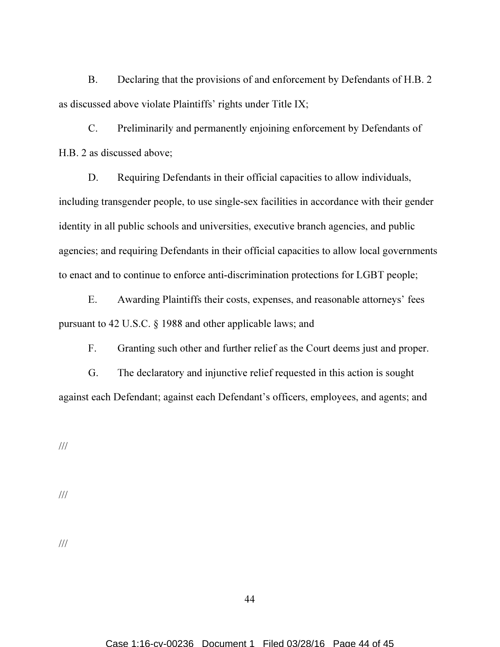B. Declaring that the provisions of and enforcement by Defendants of H.B. 2 as discussed above violate Plaintiffs' rights under Title IX;

C. Preliminarily and permanently enjoining enforcement by Defendants of H.B. 2 as discussed above;

D. Requiring Defendants in their official capacities to allow individuals, including transgender people, to use single-sex facilities in accordance with their gender identity in all public schools and universities, executive branch agencies, and public agencies; and requiring Defendants in their official capacities to allow local governments to enact and to continue to enforce anti-discrimination protections for LGBT people;

E. Awarding Plaintiffs their costs, expenses, and reasonable attorneys' fees pursuant to 42 U.S.C. § 1988 and other applicable laws; and

F. Granting such other and further relief as the Court deems just and proper.

G. The declaratory and injunctive relief requested in this action is sought against each Defendant; against each Defendant's officers, employees, and agents; and

///

///

///